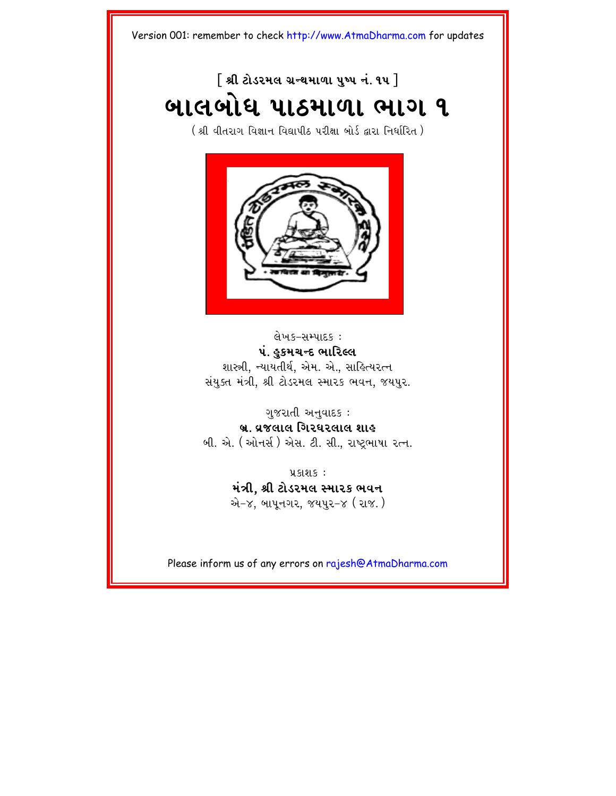### $\lceil$  શ્રી ટોડરમલ ગ્રન્થમાળા ૫ષ્પ નં. ૧૫  $\rceil$ <mark>બાલબોધ પાઠમાળા ભાગ ૧</mark>

 $($  શ્રી વીતરાગ વિજ્ઞાન વિદ્યાપીઠ પરીક્ષા બોર્ડ દ્વારા નિર્ધારિત  $)$ 



લેખક–સમ્પાદક: પં. હુકમચન્દ ભારિલ્લ શાસ્ત્રી, ન્યાયતીર્થ, એમ. એ., સાહિત્યરત્ન સંયુક્ત મંત્રી, શ્રી ટોડરમલ સ્મારક ભવન, જયપુર.

ગુજરાતી અનુવાદક: **b/. v/jlal igr\rlal xah**

બી. એ. (ઓનર્સ) એસ. ટી. સી., રાષ્ટ્રભાષા રત્ન.

 $4.51815$ : મંત્રી, શ્રી ટોડરમલ સ્મારક **ભવ**ન એ $-$ ૪, બાપુનગર, જયપુર $-$ ૪ (રાજ.)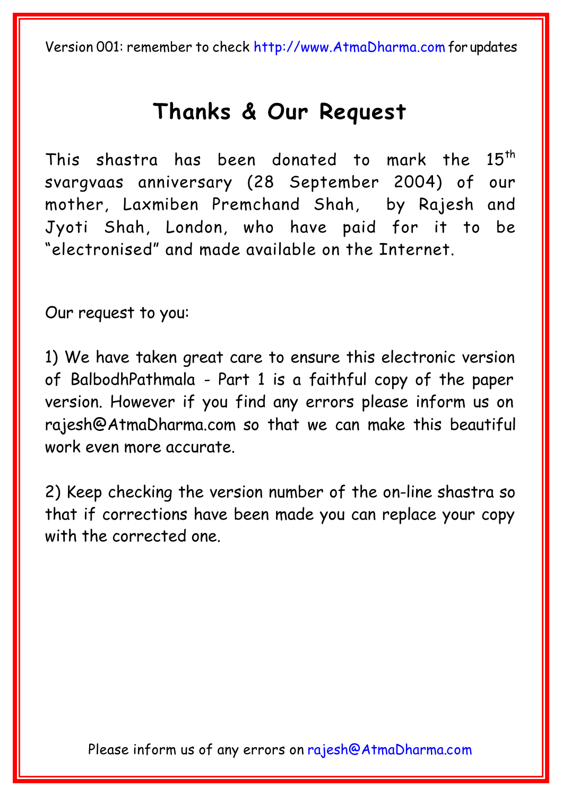### **T[hanks & Our Requ](mailto:rajesh@AtmaDharma.com)est**

This shastra has been donated to mark the  $15^{th}$ svargvaas anniversary (28 September 2004) of our mother, Laxmiben Premchand Shah, by Rajesh and Jyoti Shah, London, who have paid for it to be "electronised" and made available on the Internet.

Our request to y[ou:](http://www.atmadharma.com/donate)

1) We have taken great care to ensure this electronic version of BalbodhPathmala - Part 1 is a faithful copy of the paper version. However if you find any errors please inform us on rajesh@AtmaDharma.com so that we can make this beautiful work even more accurate.

2) Keep checking the version number of the on-line shastra so that if corrections have been made you can replace your copy with the corrected one.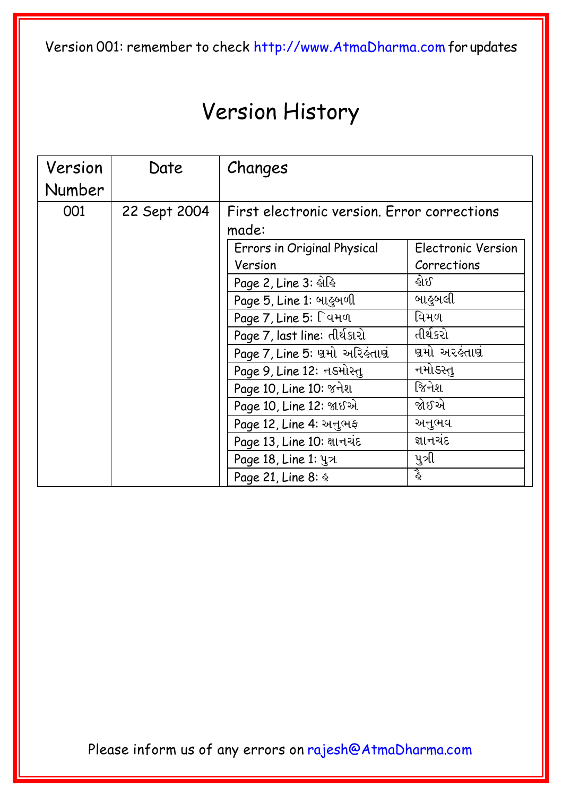### Version History

| Version       | Date         | Changes                                     |                    |  |
|---------------|--------------|---------------------------------------------|--------------------|--|
| <b>Number</b> |              |                                             |                    |  |
| 001           | 22 Sept 2004 | First electronic version. Error corrections |                    |  |
|               |              | made:                                       |                    |  |
|               |              | Errors in Original Physical                 | Electronic Version |  |
|               |              | Version                                     | Corrections        |  |
|               |              | Page 2, Line 3: લોહિ                        | હોઈ                |  |
|               |              | Page 5, Line 1: બાહુબળી                     | બાહુબલી            |  |
|               |              | Page 7, Line 5: [449                        | વિમળ               |  |
|               |              | Page 7, last line: તીર્થકારો                | તીર્થકરો           |  |
|               |              | Page 7, Line 5: 19 મો અરિ sall              | ણમો અરહંતાણું      |  |
|               |              | Page 9, Line 12: નડમોસ્તુ                   | નમોડસ્તુ           |  |
|               |              | Page 10, Line 10: 8 નેશ                     | જિનેશ              |  |
|               |              | Page 10, Line 12: જાઈએ                      | જોઈએ               |  |
|               |              | Page 12, Line 4: અનુભફ                      | અનુભવ              |  |
|               |              | Page 13, Line 10: ક્ષાનચંદ                  | જ્ઞાનચંદ           |  |
|               |              | Page 18, Line 1: 4x                         | પુત્રી             |  |
|               |              | Page 21, Line 8: §                          | ż                  |  |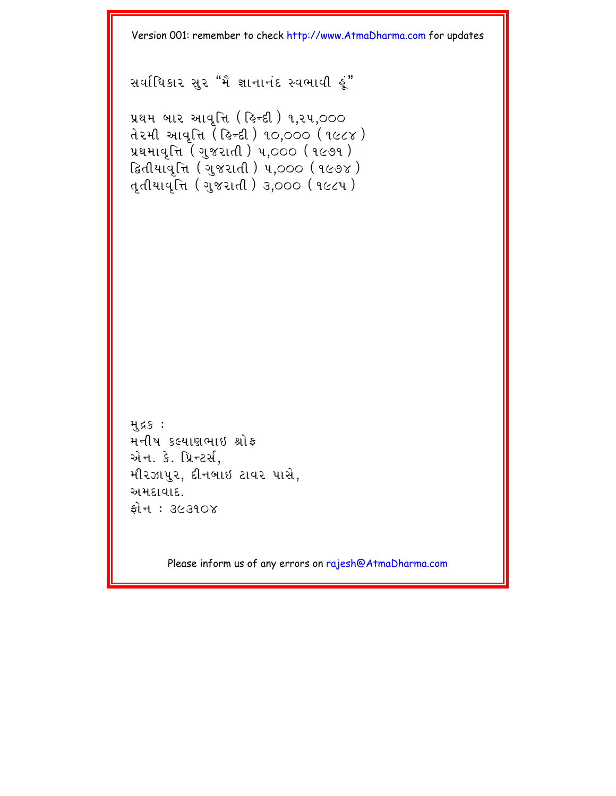$3$ મર્વાધિકાર સર "મે જ્ઞાનાનંદ સ્વભાવી હૂં"

```
પ્રથમ બાર આવત્તિ ( હિન્દી ) ૧,૨૫,૦૦૦
તેરમી આવૃત્તિ (ફિન્દી) ૧૦,૦૦૦ (૧૯૮૪)
પ્રથમાવૃત્તિ( ગુજરાતી ) ૫,૦૦૦ ( ૧૯૭૧ )દિતીયાવૃત્તિ (ગુજરાતી) ૫,૦૦૦ (૧૯૭૪)
d, dluq\overline{d} (d yd)dd) d, d, d) d
```

```
મુદ્રs :
મનીષ કલ્યાણભાઈ શ્રોક
એન. કે. પ્રિન્ટર્સ.
મીરઝાપુર, દીનબાઇ ટાવર પાસે.
અમદાવાદ.
કો ન: 3૯390X
```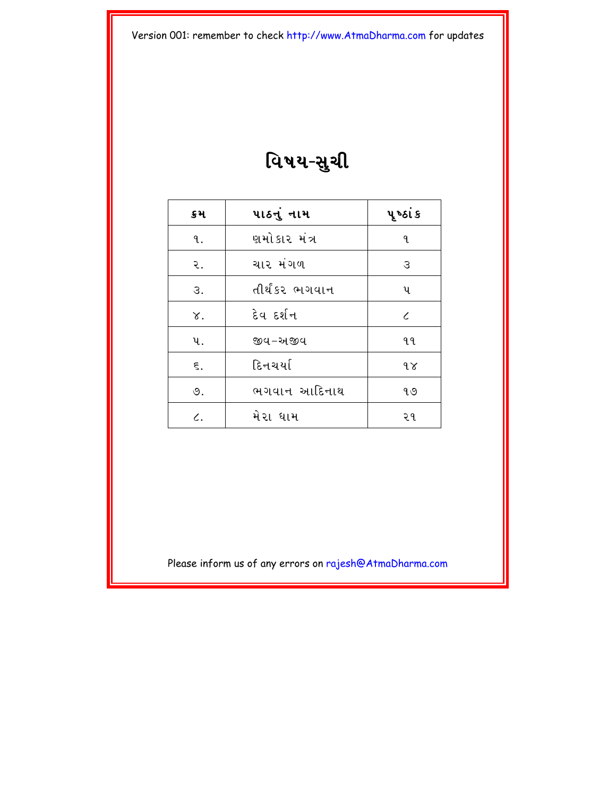### વિષય-સુચી

| ક્રમ         | પાઠનું નામ     | પૂ ષ્ઠાં ક |
|--------------|----------------|------------|
| 9.           | ણમોકાર મંત્ર   | ٩.         |
| ર.           | ચાર મંગળ       | З          |
| З.           | તીર્થંકર ભગવાન | પ          |
| $\chi$ .     | દેવ દર્શન      | $\epsilon$ |
| પ…           | જીવ-અજીવ       | 99         |
| $\epsilon$ . | દિનચર્યા       | 98         |
| $\circ$ .    | ભગવાન આદિનાથ   | १७         |
| $\epsilon$ . | મેરા ધામ       | ૨૧         |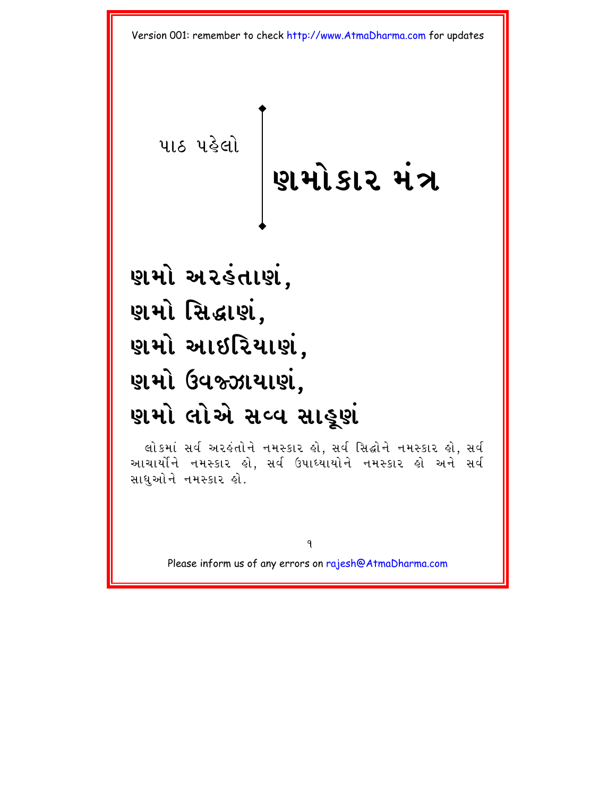<span id="page-5-0"></span>પાઠ પહેલો

## ષ્ઠામોકાર મંત્ર

## ષ્ઠામો અ૨હંતાણં,

- ષ્ટામો સિદ્ધાર્<mark>શ,</mark>
- ષ્ઠામો આઇરિયાણં,
- ષ્<mark>ગામો ઉવજ્ઝાયાણં,</mark>

## ષ્<mark>ગામો લોએ સ</mark>વ્વ સાહૂણં

લોકમાં સર્વ અરહંતોને નમસ્કાર હો, સર્વ સિદ્ધોને નમસ્કાર હો, સર્વ આચાર્યાને નમસ્કાર હો, સર્વ ઉપાઘ્યાયોને નમસ્કાર હો અને સર્વ સાધુઓને નમસ્કાર હો.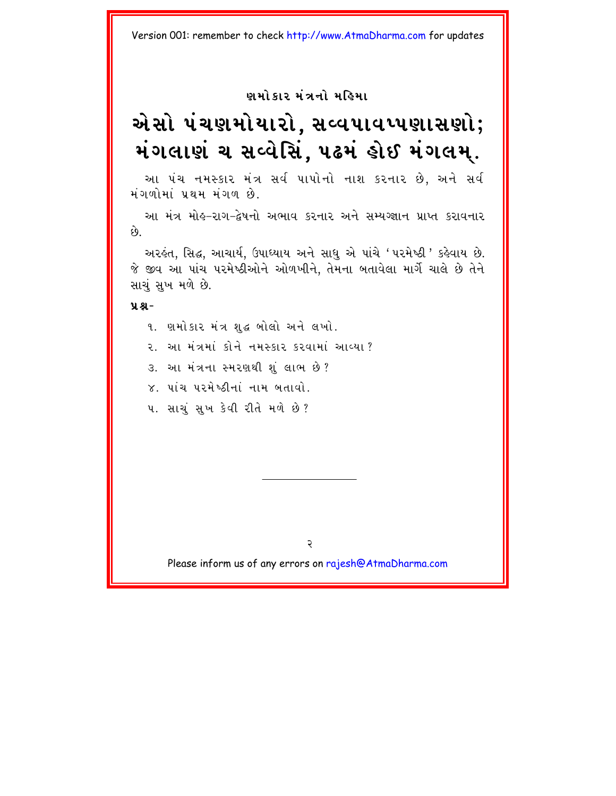### **`maekar mH5nae mihma**

### એ સો પંચણમોયારો, સવ્વપાવપ્પણાસણો; **mHgla`H c sVv eisH, p#mH ho{ mHglm Ÿ.**

આ પંચ નમસ્કાર મંત્ર સર્વ પાપોનો નાશ કરનાર છે. અને સર્વ મંગળોમાં પ્રથમ મંગળ છે.

આ મંત્ર મોહ-રાગ-દ્વેષનો અભાવ કરનાર અને સમ્યગ્જ્ઞાન પ્રાપ્ત કરાવનાર  $\hat{\mathfrak{g}}$ 

અરકંત, સિદ્ધ, આચાર્ય, ઉપાધ્યાય અને સાધુ એ પાંચે 'પરમેષ્ઠી ' કહેવાય છે. જે જીવ આ પાંચ પરમેષ્ઠીઓને ઓળખીને, તેમના બતાવેલા માર્ગે ચાલે છે તેને સાચું સુખ મળે છે.

#### **ÝÆ-**

૧. ણમોકાર મંત્ર શહ બોલો અને લખો.

૨. આ મંત્રમાં કોને નમસ્કાર કરવામાં આવ્યા ?

3. આ મંત્રના સ્મરણથી શુંલાભ છે?

 $\times$  पांच पश्मेरुठीनां नाम બतावो

૫. સાચંસખ કેવી રીતે મળે છે?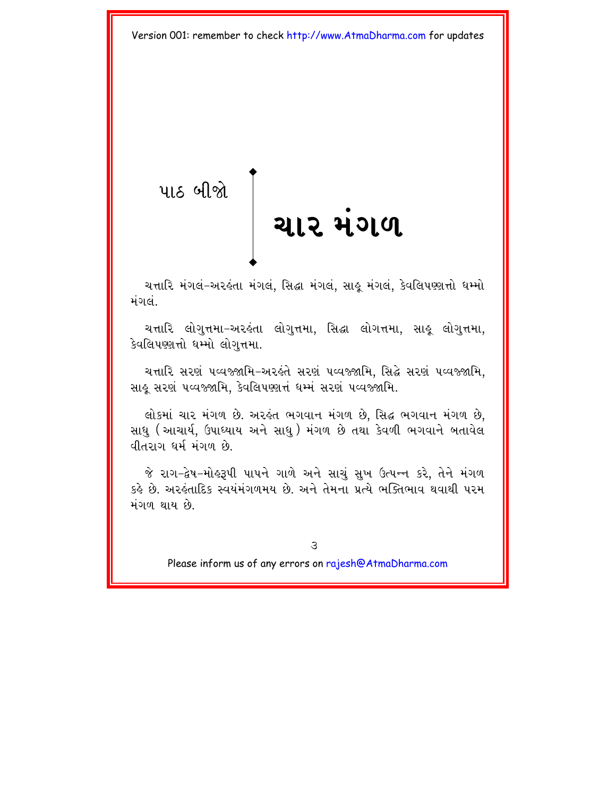<span id="page-7-0"></span>

ચત્તારિ મંગલ-અરહંતા મંગલ, સિદ્ધા મંગલ, સાહૂ મંગલ, કેવલિપણ્યતો ધમ્મો મંગલં

ચત્તારિ લોગતતમા-અરહંતા લોગત્તમા, સિદ્ધા લોગત્તમા, સાહુ લોગત્તમા, કેવલિપણ્ણત્તો ધમ્મો લોગત્તમા.

ચત્તારિ સરણં ૫વ્વજ્જામિ-અરહંતે સરણં ૫વ્વજ્જામિ, સિદ્ધે સરણં ૫વ્વજ્જામિ, સાહુ સરણં પવ્વજ્જામિ, કેવલિપણ્ણત્તં ધમ્મં સરણં પવ્વજ્જામિ.

લોકમાં ચાર મંગળ છે. અરહંત ભગવાન મંગળ છે, સિદ્ધ ભગવાન મંગળ છે, સાધુ (આચાર્ય, ઉપાધ્યાય અને સાધુ) મંગળ છે તથા કેવળી ભગવાને બતાવેલ વીતરાગ ધર્મ મંગળ છે.

જે રાગ-દ્વેષ-મોલ્ર્ડાી પાપને ગાળે અને સાચં સખ ઉત્પન્ન કરે. તેને મંગળ કહે છે. અરહંતાદિક સ્વયંમંગળમય છે. અને તેમના પ્રત્યે ભક્તિભાવ થવાથી પરમ મંગળ થાય છે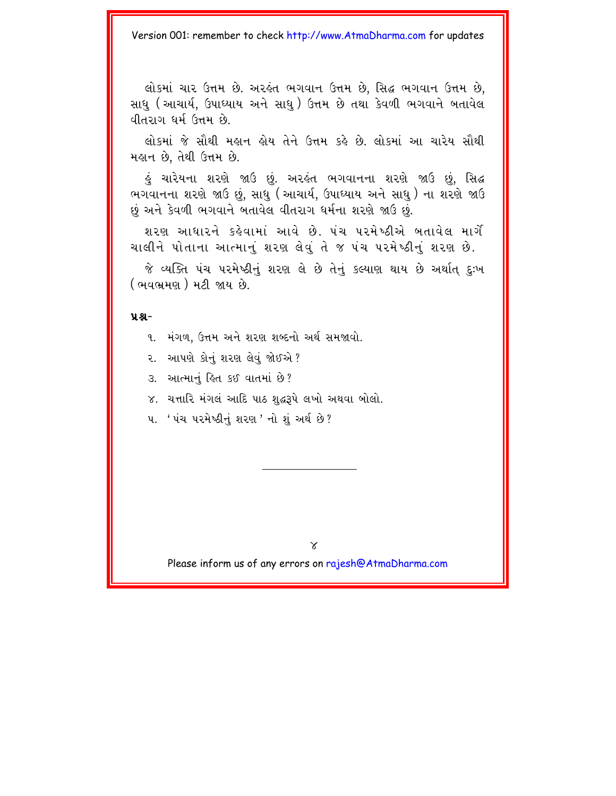લોકમાં ચાર ઉત્તમ છે. અરહંત ભગવાન ઉત્તમ છે, સિદ્ધ ભગવાન ઉત્તમ છે, સાધ (આચાર્ય, ઉપાઘ્યાય અને સાધુ ) ઉત્તમ છે તથા કેવળી ભગવાને બતાવેલ વીતરાગ ધર્મ ઉત્તમ છે.

લોકમાં જે સૌથી મહાન હોય તેને ઉત્તમ કહે છે. લોકમાં આ ચારેય સૌથી મહાન છે, તેથી ઉત્તમ છે.

કું ચારેયના શરણે જાઉ છું. અરહંત ભગવાનના શરણે જાઉ છું, સિદ્ધ ભગવાનના શરણે જાઉ છું. સાધુ (આચાર્ય, ઉપાધ્યાય અને સાધુ ) ના શરણે જાઉ છું અને કેવળી ભગવાને બતાવેલ વીતરાગ ધર્મના શરણે જાઉ <u>છું</u>.

શરણ આધારને કહેવામાં આવે છે. પંચ પરમેષ્ઠીએ બતાવેલ માર્ગે ચાલીને પોતાના આત્માનું શરણ લેવું તે જ પંચ પરમેષ્ઠીનું શરણ છે.

જે વ્યક્તિ પંચ પરમેષ્ઠીનું શરણ લે છે તેનું કલ્યાણ થાય છે અર્થાત દઃખ ( ભવભ્રમણ ) મટી જાય છે.

#### **p/Æ-**

૧. મંગળ, ઉત્તમ અને શરણ શબ્દનો અર્થ સમજાવો.

૨. આપણે કોનું શરણ લેવું જોઈએ?

3. આત્માનં હિત કઈ વાતમાં છે?

૪. ચત્તારિ મંગલં આદિ પાઠ શદ્ધ3પે લખો અથવા બોલો.

૫. 'પંચ પરમેષ્ઠીનું શરણ ' નો શું અર્થ છે ?

 $\times$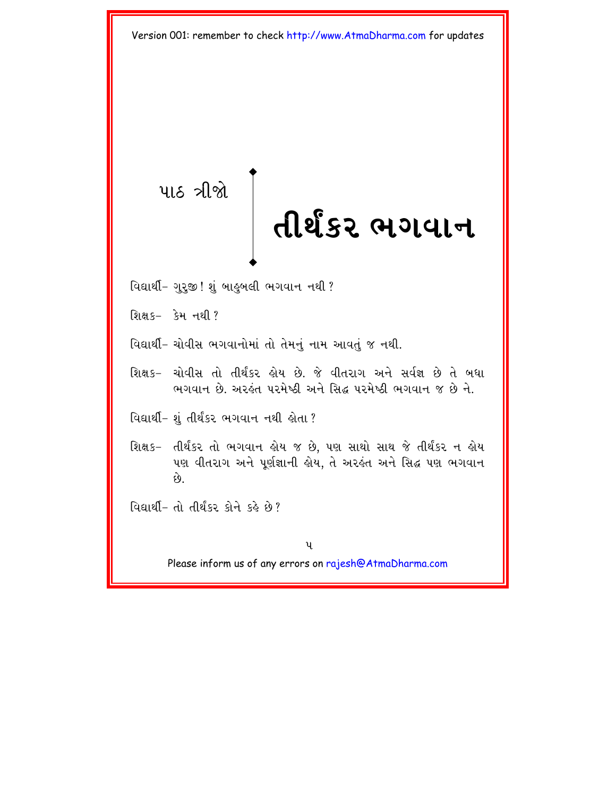# <span id="page-9-0"></span>પાઠ ત્રીજો तीर्थंडर लगवान

વિદ્યાર્થી- ગરજી! શંબાહબલી ભગવાન નથી?

- શિક્ષક- કેમ નથી?
- વિદ્યાર્થી- ચોવીસ ભગવાનોમાં તો તેમનું નામ આવતું જ નથી.
- શિક્ષક- ચોવીસ તો તીર્થંકર લોય છે. જે વીતરાગ અને સર્વજ્ઞ છે તે બધા ભગવાન છે. અરહંત પરમેષ્ઠી અને સિદ્ધ પરમેષ્ઠી ભગવાન જ છે ને.
- વિદ્યાર્થી- શું તીર્થંકર ભગવાન નથી હોતા ?
- શિક્ષક- તીર્થંકર તો ભગવાન હોય જ છે. પણ સાથો સાથ જે તીર્થંકર ન હોય પણ વીતરાગ અને પૂર્ણજ્ઞાની હોય, તે અરહંત અને સિદ્ધ પણ ભગવાન  $\hat{g}$
- $\alpha$  and  $\alpha$  and  $\alpha$  and  $\alpha$  and  $\alpha$  and  $\alpha$  and  $\alpha$  and  $\alpha$  and  $\alpha$  and  $\alpha$  and  $\alpha$  and  $\alpha$  and  $\alpha$  and  $\alpha$  and  $\alpha$  and  $\alpha$  and  $\alpha$  and  $\alpha$  and  $\alpha$  and  $\alpha$  and  $\alpha$  and  $\alpha$  and  $\alpha$  and  $\alpha$  and  $\alpha$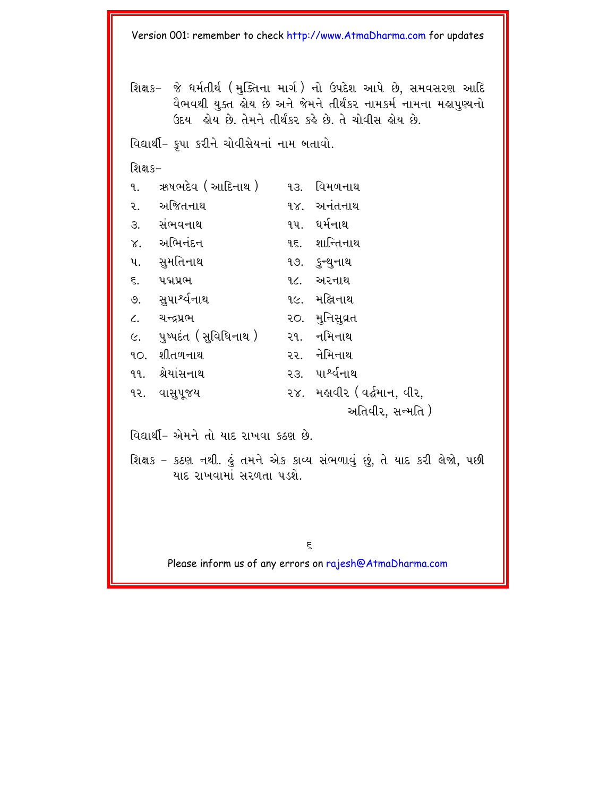શિક્ષક- જે ધર્મતીર્થ (મુક્તિના માર્ગ) નો ઉપદેશ આપે છે, સમવસરણ આદિ વૈભવથી યુક્ત હોય છે અને જેમને તીર્થંકર નામકર્મ નામના મહાપુણ્યનો ઉદય હોય છે. તેમને તીર્થંકર કહે છે. તે ચોવીસ હોય છે.

વિદ્યાર્થી- કૃપા કરીને ચોવીસેયનાં નામ બતાવો.

શિક્ષ ક $-$ 

| q.           | ઋષભદેવ ( આદિનાથ )            | 93. | વિમળનાથ                     |
|--------------|------------------------------|-----|-----------------------------|
| ૨.           | અજિતનાથ                      |     | ૧૪. અનંતનાથ                 |
|              | ૩. સંભવનાથ                   |     | ૧૫. ધર્મનાથ                 |
|              | ૪. અભિનંદન                   |     | ૧૬. શાન્તિનાથ               |
| પ.           | સુમતિનાથ                     |     | १७. કुन्धुनाथ               |
| $\epsilon$ . | પદ્મપ્રભ                     |     | ૧૮. અરનાથ                   |
|              | ૭. સુપા <sup>શ્ર્</sup> વનાથ |     | ૧૯. મક્ષિનાથ                |
|              | ૮. ચન્દ્રપ્રભ                |     | ૨૦. મુનિસૂવ્રત              |
|              | ૯. પુષ્પદંત (સુવિધિનાથ )     |     | ૨૧. નમિનાથ                  |
|              | ૧૦. શીતળનાથ                  |     | ૨૨. નેમિનાથ                 |
|              | ૧૧. શ્રેયાંસનાથ              |     | ૨૩. પા <sup>શ્ર્</sup> વનાથ |
|              | ૧૨. વાસુપૂજય                 |     | ૨૪. મહાવીર (વર્દ્ધમાન, વીર, |
|              |                              |     | અતિવીર, સન્મતિ )            |

વિદ્યાર્થી- એમને તો યાદ રાખવા કઠણ છે.

શિક્ષક - કઠણ નથી. કું તમને એક કાવ્ય સંભળાવું છું, તે યાદ કરી લેજો, પછી યાદ રાખવામાં સરળતા પડશે.

 $\epsilon$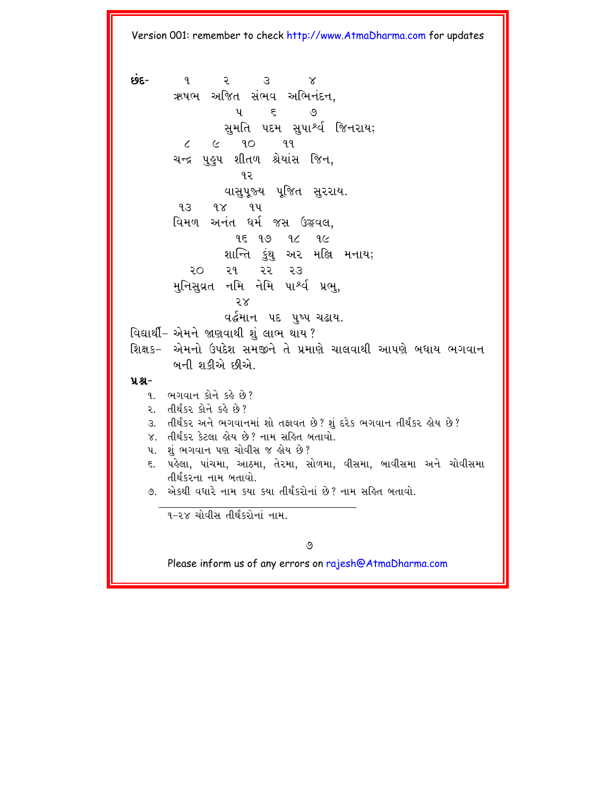$595 \mathbf{q}$  $\overline{\mathcal{L}}$  $\mathcal{S}$  $\times$ ઋષભ અજિત સંભવ અભિનંદન.  $\epsilon$  $\mathbf{u}$ ৩ સુમતિ પદમ સુપાર્શ્વ જિનરાય:  $90$   $99$  $\epsilon$  $\sim$ ચન્દ્ર પુઢ્પ શીતળ શ્રેયાંસ જિન.  $92$ વાસપજ્ય પજિત સરરાય.  $9.3$  $9x$   $9y$ વિમળ અનંત ધર્મ જસ ઉજ્જવલ. 95 99 96 96 શાન્તિ કુંથુ અર મક્ષિ મનાય; ૨૧ ૨૨ ૨૩  $\overline{50}$ મુનિસુવ્રત નમિ નેમિ પાર્શ્વ પ્રભુ,  $5x$ વર્દ્ધમાન પદ પુષ્પ ચઢાય. વિદ્યાર્થી- એમને જાણવાથી શું લાભ થાય? શિક્ષક- એમનો ઉપદેશ સમજીને તે પ્રમાણે ચાલવાથી આપણે બધાય ભગવાન બની શકીએ છીએ  $9.8 -$ ૧. ભગવાન કોને કહે છે? ૨. તીર્થંકર કોને કહે છે? 3. તીર્થંકર અને ભગવાનમાં શો તફાવત છે? શંદરેક ભગવાન તીર્થંકર હોય છે? ૪. તીર્થંકર કેટલા હોય છે? નામ સહિત બતાવો. ૫. શું ભગવાન પણ ચોવીસ જ હોય છે? ૬. પહેલા, પાંચમા, આઠમા, તેરમા, સોળમા, વીસમા, બાવીસમા અને ચોવીસમા તીર્થંકરના નામ બતાવો. ૭. એકથી વધારે નામ કયા કયા તીર્થંકરોનાં છે? નામ સહિત બતાવો. ૧-૨૪ ચોવીસ તીર્થંકરોનાં નામ.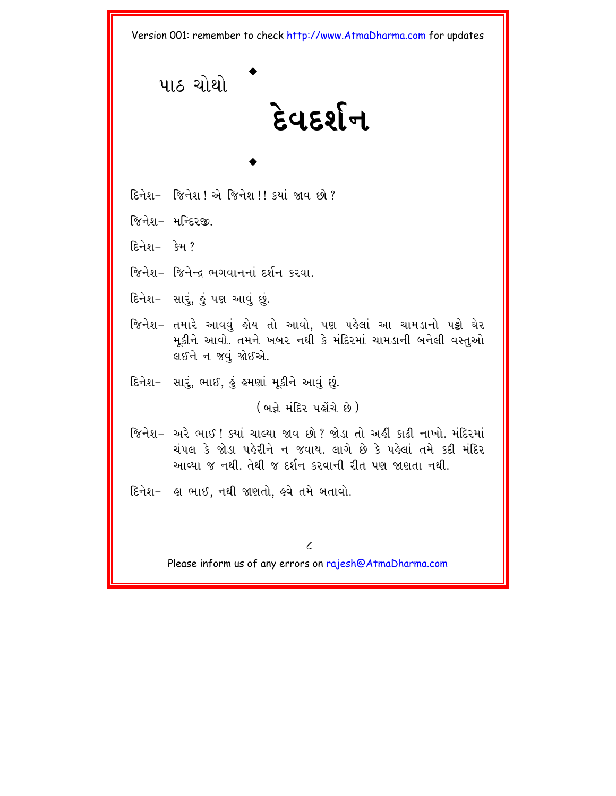<span id="page-12-0"></span>

- દિનેશ- જિનેશ! એ જિનેશ!! ક્યાં જાવ છો?
- જિનેશ- મન્દિરજી
- દિનેશ- કેમ?
- <u> જિનેશ- જિનેન્દ્ર ભગવાનનાં દર્શન કરવા.</u>
- દિનેશ- સારૂં, કું પણ આવું છું.
- જિનેશ- તમારે આવવું હોય તો આવો, પણ પહેલાં આ ચામડાનો પટ્ટો ઘેર મૂકીને આવો. તમને ખબર નથી કે મંદિરમાં ચામડાની બનેલી વસ્તુઓ લઈને ન જવં જોઈએ.
- દિનેશ- સારૂં, ભાઈ, કું હુમણાં મૂકીને આવું છું.

(બન્ને મંદિર પહોંચે છે)

- જિનેશ- અરે ભાઈ! કયાં ચાલ્યા જાવ છો? જોડા તો અહીં કાઢી નાખો. મંદિરમાં ચંપલ કે જોડા પહેરીને ન જવાય. લાગે છે કે પહેલાં તમે કદી મંદિર આવ્યા જ નથી. તેથી જ દર્શન કરવાની રીત પણ જાણતા નથી.
- દિનેશ- હ્રા ભાઈ, નથી જાણતો, હવે તમે બતાવો.

 $\overline{\mathcal{L}}$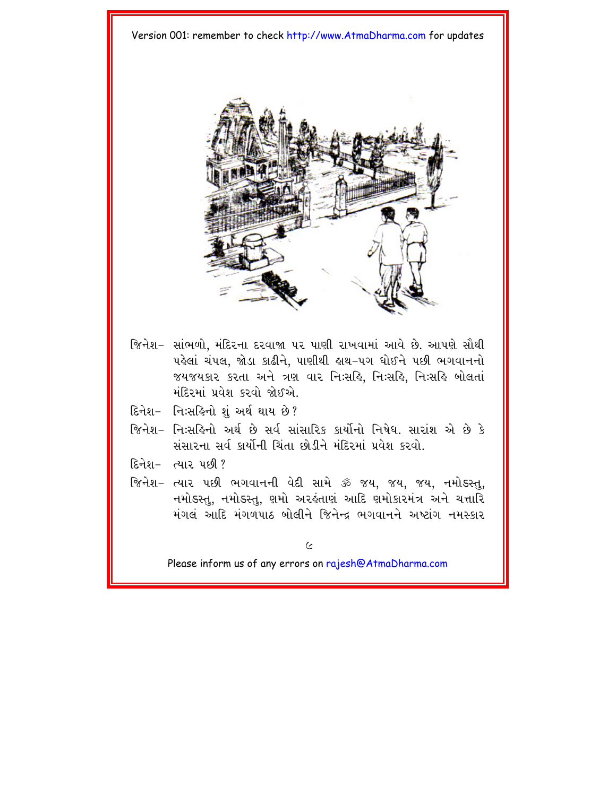

- જિનેશ- સાંભળો. મંદિરના દરવાજા પર પાણી રાખવામાં આવે છે. આપણે સૌથી પહેલાં ચંપલ, જોડા કાઢીને, પાણીથી હાથ-પગ ધોઈને પછી ભગવાનનો જયજયકાર કરતા અને ત્રણ વાર નિ:સર્હિ, નિ:સર્હિ, નિ:સર્હિ બોલતાં મંદિરમાં પ્રવેશ કરવો જોઈએ.
- દિનેશ− નિઃસહિનો શું અર્થ થાય છે?
- જિનેશ- નિ:સહિનો અર્થ છે સર્વ સાંસારિક કાર્યોનો નિષેધ સારાંશ એ છે કે સંસારના સર્વ કાર્યોની ચિંતા છોડીને મંદિરમાં પ્રવેશ કરવો.
- દિનેશ- ત્યાર પછી?
- જિનેશ- ત્યાર પછી ભગવાનની વેદી સામે ૐ જય, જય, જય, નમોડસ્તુ, નમોડસ્ત. નમોડસ્ત. ણમો અરકંતાણું આદિ ણમોકારમંત્ર અને ચત્તારિ મંગલં આદિ મંગળપાઠ બોલીને જિનેન્દ્ર ભગવાનને અષ્ટાંગ નમસ્કાર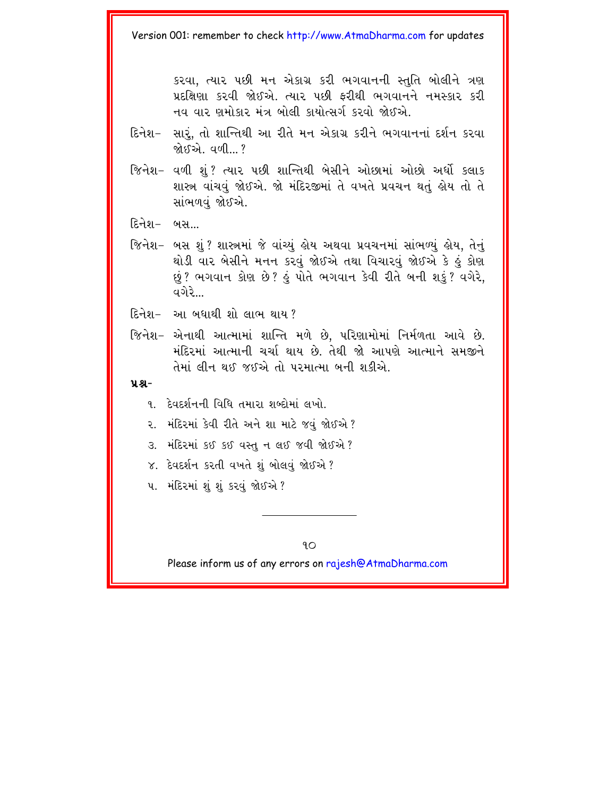કરવા. ત્યાર પછી મન એકાગ્ર કરી ભગવાનની સ્તતિ બોલીને ત્રણ પ્રદક્ષિણા કરવી જોઈએ. ત્યાર પછી કરીથી ભગવાનને નમસ્કાર કરી. નવ વાર ણમોકાર મંત્ર બોલી કાયોત્સર્ગ કરવો જોઈએ

- દિનેશ- સારૂં, તો શાન્તિથી આ રીતે મન એકાગ્ર કરીને ભગવાનનાં દર્શન કરવા જોક્દરુને લળી ?
- જિનેશ- વળી શું ? ત્યાર પછી શાન્તિથી બેસીને ઓછામાં ઓછો અર્ધો કલાક શાસ્ત્ર વાંચવં જોઈએ. જો મંદિરજીમાં તે વખતે પ્રવચન થતું હોય તો તે સાંભળવં જોઈએ.
- દિનેશ- બસ...
- જિનેશ- બસ શું ? શાસ્ત્રમાં જે વાંચ્યું હોય અથવા પ્રવચનમાં સાંભળ્યું હોય, તેનું થોડી વાર બેસીને મનન કરવું જોઈએ તથા વિચારવું જોઈએ કે હું કોણ છું? ભગવાન કોણ છે? કું પોતે ભગવાન કેવી રીતે બની શકું? વગેરે, વગેરે…
- દિનેશ- આ બધાથી શો લાભ થાય ?
- જિનેશ- એનાથી આત્મામાં શાન્તિ મળે છે. પરિણામોમાં નિર્મળતા આવે છે. મંદિરમાં આત્માની ચર્ચા થાય છે. તેથી જો આપણે આત્માને સમજીને તેમાં લીન થઈ જઈએ તો પરમાત્મા બની શકીએ.

#### บ ม -

- ૧. દેવદર્શનની વિધિ તમારા શબ્દોમાં લખો.
- ૨. મંદિરમાં કેવી રીતે અને શા માટે જવં જોઈએ ?
- 3. મંદિરમાં કઈ કઈ વસ્તુ ન લઈ જવી જોઈએ?
- ૪. દેવદર્શન કરતી વખતે શું બોલવું જોઈએ?
- ૫. મંદિરમાં શું શું કરવું જોઈએ?

 $9O$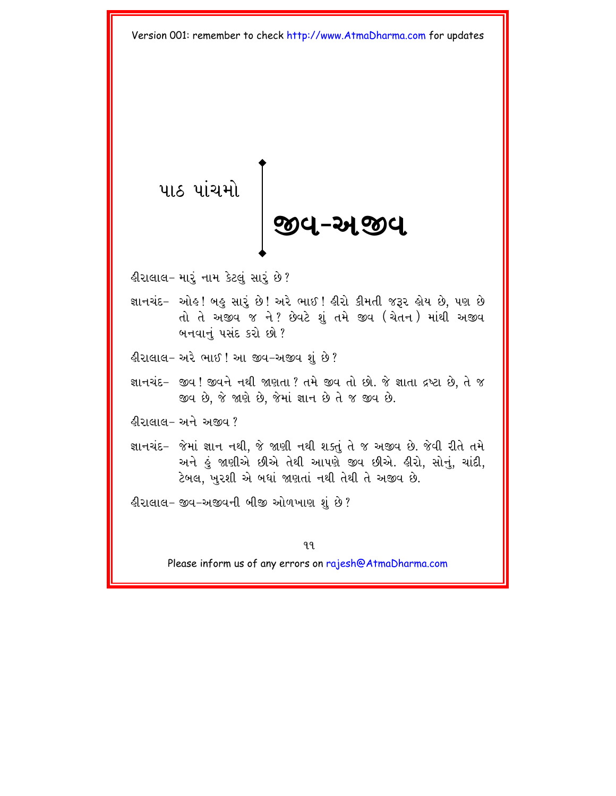<span id="page-15-0"></span>પાઠ પાંચમ<mark>ો</mark> જીવ-અજીવ

હીરાલાલ− મારૂં નામ કેટલું સારૂં છે?

જ્ઞાનચંદ- ઓહ! બહુ સાર છે! અરે ભાઈ! હીરો કીમતી જરૂર હોય છે, પણ છે તો તે અજીવ જ ને? છેવટે શું તમે જીવ (ચેતન) માંથી અજીવ બનવાનું પસંદ કરો છો?

હીરાલાલ− અરે ભાઈ ! આ જીવ−અજીવ શં છે ?

જ્ઞાનચંદ- જીવ ! જીવને નથી જાણતા ? તમે જીવ તો છો. જે જ્ઞાતા દ્રષ્ટા છે, તે જ જીવ છે. જે જાણે છે. જેમાં જ્ઞાન છે તે જ જીવ છે.

કીરાલાલ- અને અજીવ?

જ્ઞાનચંદ- જેમાં જ્ઞાન નથી. જે જાણી નથી શક્ત તે જ અજીવ છે. જેવી રીતે તમે અને કું જાણીએ છીએ તેથી આપણે જીવ છીએ. ક્રીરો. સોનં. ચાંદી. ટેબલ, ખુરશી એ બધાં જાણતાં નથી તેથી તે અજીવ છે.

ર્લરાલાલ− જીવ−અજીવની બીજી ઓળખાણ શું છે?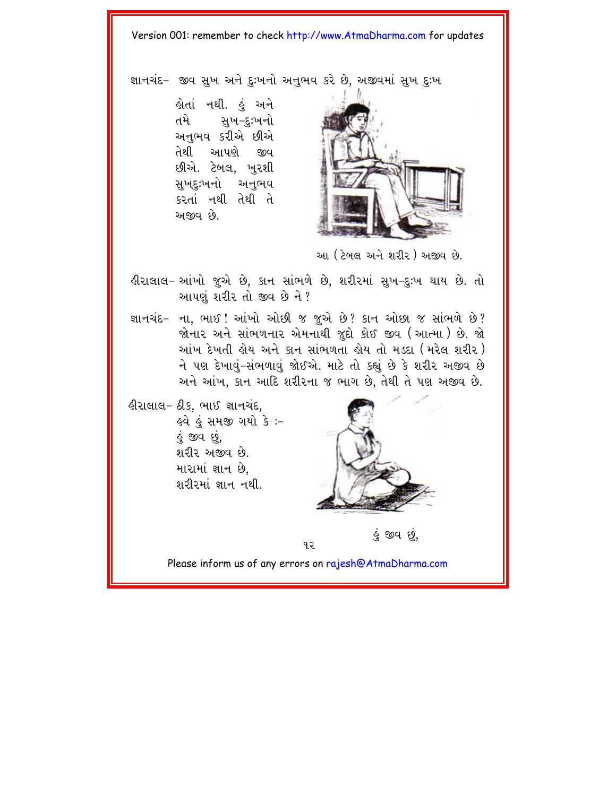જ્ઞાનચંદ- જીવ સખ અને દઃખનો અનભવ કરે છે. અજીવમાં સખ દઃખ

હોતાં નથી. હું અને તમે સુખ-દુ:ખનો અનુભવ કરીએ છીએ તેથી આપણે જીવ છીએ. ટેબલ, ખુરશી સખદઃખનો અનુભવ કરતાં નથી તેથી તે અજીવ છે.



આ (ટેબલ અને શરીર) અજીવ છે.

હીરાલાલ− આંખો જુએ છે, કાન સાંભળે છે, શરીરમાં સુખ−દુઃખ થાય છે. તો આપણું શરીર તો જીવ છે ને?

જ્ઞાનચંદ- ના, ભાઈ ! આંખો ઓછી જ જુએ છે ? કાન ઓછા જ સાંભળે છે ? જોનાર અને સાંભળનાર એમનાથી જદો કોઈ જીવ (આત્મા ) છે. જો આંખ દેખતી હોય અને કાન સાંભળતા હોય તો મડદા (મરેલ શરીર) ને પણ દેખાવ-સંભળાવું જોઈએ. માટે તો કહ્યું છે કે શરીર અજીવ છે અને આંખ, કાન આદિ શરીરના જ ભાગ છે, તેથી તે પણ અજીવ છે.

ઙીરાલાલ− ઠીક, ભાઈ જ્ઞાનચંદ, ૬વે કું સમજી ગયો કે :− <u>ડું</u> જીવ છું, શરીર અજીવ છે. મારામાં જ્ઞાન છે. શરીરમાં જ્ઞાન નથી.



<u>ડું</u> જીવ છું,

 $92$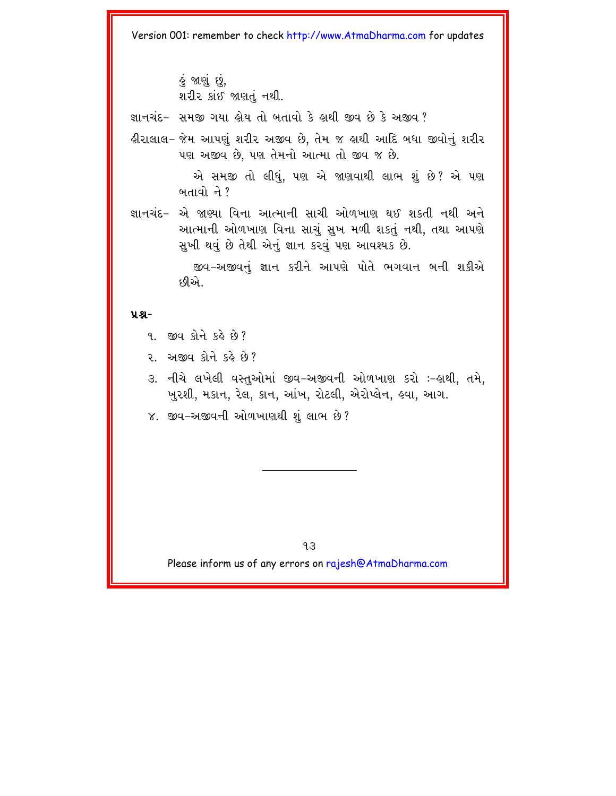કું જાણું છું, શરીર કાંઈ જાણતં નથી.

- ज्ञानयंद- સમજી ગયા હોય તો બતાવો કે હાથી જીવ છે કે અજીવ ?
- લીરાલાલ− જેમ આપણું શરીર અજીવ છે. તેમ જ લુથી આદિ બધા જીવોનું શરીર પણ અજીવ છે. પણ તેમનો આત્મા તો જીવ જ છે.

એ સમજી તો લીધું, પણ એ જાણવાથી લાભ શું છે? એ પણ બતાવો ને ?

ज्ञानयंद- એ જાણ્યા વિના આત્માની સાચી ઓળખાણ થઈ શકતી નથી અને આત્માની ઓળખાણ વિના સાચં સખ મળી શકતં નથી. તથા આપણે સખી થવું છે તેથી એનું જ્ઞાન કરવું પણ આવશ્યક છે.

> જીવ-અજીવનું જ્ઞાન કરીને આપણે પોતે ભગવાન બની શકીએ દઊએ

#### $9.8 -$

- $9.$  જીવ કોને કહે છે?
- ર. અજીવ કોને કહે છે?
- ૩. નીચે લખેલી વસ્તઓમાં જીવ−અજીવની ઓળખાણ કરો :−હાથી. તમે. ખુરશી, મકાન, રેલ, કાન, આંખ, રોટલી, એરોપ્લેન, હવા, આગ.
- ૪. જીવ-અજીવની ઓળખાણથી શું લાભ છે?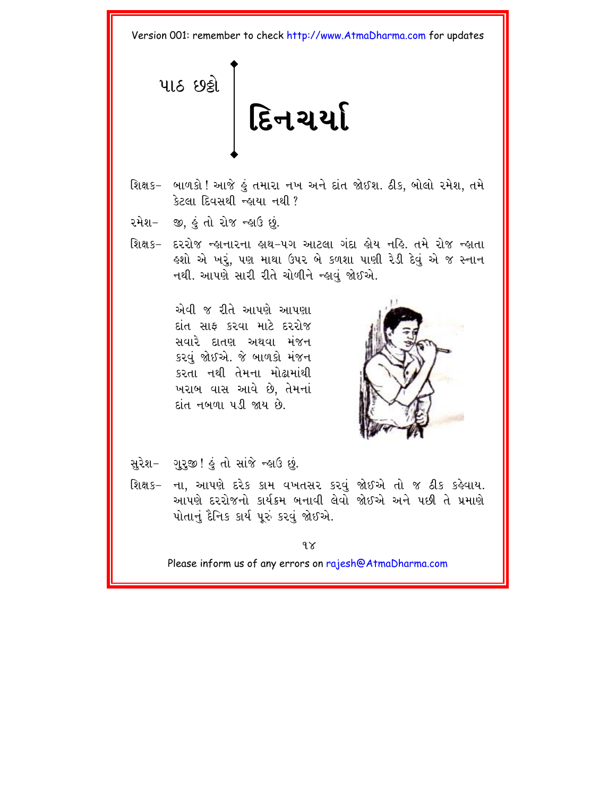<span id="page-18-0"></span>

- શિક્ષક- બાળકો! આજે હું તમારા નખ અને દાંત જોઈશ. ઠીક, બોલો રમેશ, તમે કેટલા દિવસથી ન્હાયા નથી ?
- રમેશ− જી, કું તો રોજ ન્ફાઉ છું.
- શિક્ષક- દરરોજ ન્હાનારના હાથ-પગ આટલા ગંદા હોય નહિ. તમે રોજ ન્હાતા લ્શો એ ખરૂં, પણ માથા ઉપર બે કળશા પાણી રેડી દેવું એ જ સ્નાન નથી. આપણે સારી રીતે ચોળીને ન્હાવું જોઈએ.

એવી જ રીતે આપણે આપણા દાંત સાફ કરવા માટે દરરોજ સવારે દાતણ અથવા મંજન કરવું જોઈએ. જે બાળકો મંજન કરતા નથી તેમના મોઢામાંથી ખરાબ વાસ આવે છે. તેમનાં દાંત નબળા પડી જાય છે



- સુરેશ- ગુરૂજી! હું તો સાંજે ન્હાઉ છું.
- શિક્ષક- ના, આપણે દરેક કામ વખતસર કરવું જોઈએ તો જ ઠીક કહેવાય. આપણે દરરોજનો કાર્યક્રમ બનાવી લેવો જોઈએ અને પછી તે પ્રમાણે પોતાનું દૈનિક કાર્ય પુરું કરવું જોઈએ.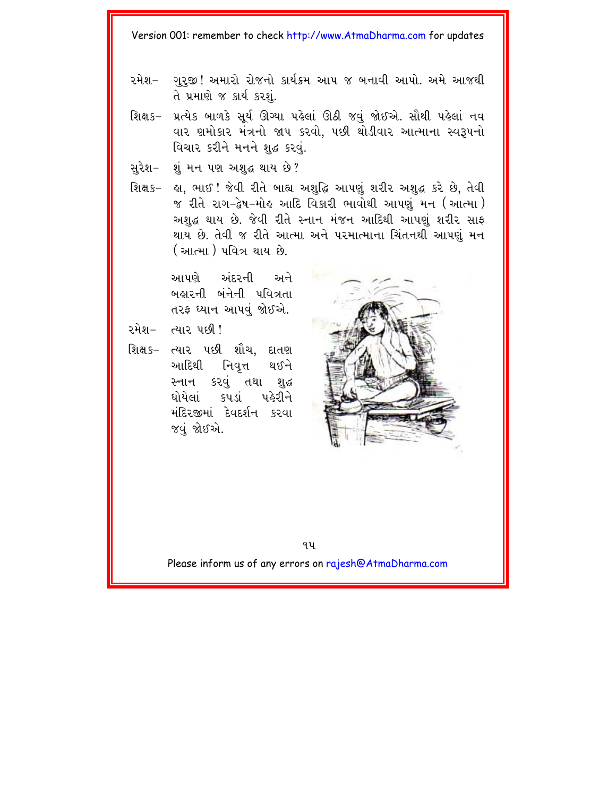- રમેશ- ગરજી! અમારો રોજનો કાર્યક્રમ આપ જ બનાવી આપો. અમે આજથી તે પ્રમાણે જ કાર્ય કરશું.
- શિક્ષક- પ્રત્યેક બાળકે સૂર્ય ઊગ્યા પહેલાં ઊઠી જવું જોઈએ. સૌથી પહેલાં નવ વાર ણમોકાર મંત્રનો જાપ કરવો. પછી થોડીવાર આત્માના સ્વરૂપનો વિચાર કરીને મનને શહ્ન કરવું.
- શું મન પણ અશુદ્ધ થાય છે? સુરેશ−
- શિક્ષક- હા, ભાઈ! જેવી રીતે બાહ્ય અશુદ્ધિ આપણું શરીર અશુદ્ધ કરે છે, તેવી જ રીતે રાગ-દ્વેષ-મોહ આદિ વિકારી ભાવોથી આપણું મન (આત્મા ) અશદ્ધ થાય છે. જેવી રીતે સ્નાન મંજન આદિથી આપણું શરીર સાફ થાય છે. તેવી જ રીતે આત્મા અને પરમાત્માના ચિંતનથી આપણું મન ( આત્મા ) પવિત્ર થાય છે.

આપણે અંદરની અને બહારની બંનેની પવિત્રતા તરફ ઘ્યાન આપવું જોઈએ.

- રમેશ- ત્યાર પછી!
- શિક્ષક- ત્યાર પછી શૌચ, દાતણ આદિથી નિવત્ત થઈને સ્નાન કરવું તથા શુદ્ધ ધોયેલાં કપડાં પહેરીને મંદિરજીમાં દેવદર્શન કરવા જવં જોઈએ.



 $9y$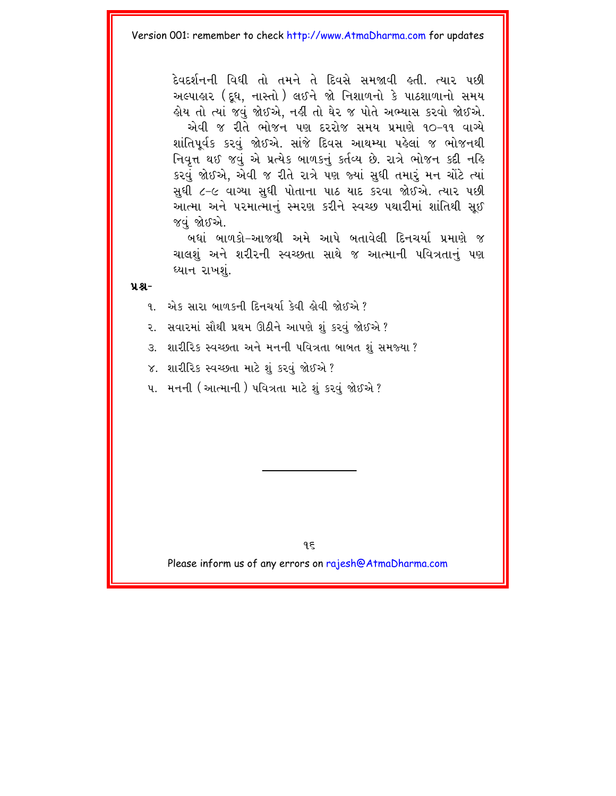દેવદર્શનની વિધી તો તમને તે દિવસે સમજાવી હતી ત્યાર પછી અલ્પાહાર (દધ. નાસ્તો ) લઈને જો નિશાળનો કે પાઠશાળાનો સમય લેય તો ત્યાં જવં જોઈએ. નહીં તો ઘેર જ પોતે અભ્યાસ કરવો જોઈએ. એવી જ રીતે ભોજન પણ દરરોજ સમય પ્રમાણે ૧૦-૧૧ વાગ્યે શાંતિપૂર્વક કરવું જોઈએ. સાંજે દિવસ આથમ્યા પહેલાં જ ભોજનથી નિવૃત્ત થઈ જવું એ પ્રત્યેક બાળકનું કર્તવ્ય છે. રાત્રે ભોજન કદી નહિ કરવું જોઈએ, એવી જ રીતે રાત્રે પણ જ્યાં સુધી તમારું મન ચોંટે ત્યાં સુધી ૮-૯ વાગ્યા સુધી પોતાના પાઠ યાદ કરવા જોઈએ. ત્યાર પછી આત્મા અને પરમાત્માનું સ્મરણ કરીને સ્વચ્છ પથારીમાં શાંતિથી સુઈ જવં જોઈએ.

બધાં બાળકો–આજથી અમે આપે બતાવેલી દિનચર્યા પ્રમાણે જ ચાલશું અને શરીરની સ્વચ્છતા સાથે જ આત્માની પવિત્રતાનું પણ ઘ્યાન રાખશં.

 $9.8 -$ 

- એક સારા બાળકની દિનચર્યા કેવી લોવી જોઈએ ?  $9<sub>1</sub>$
- ૨. સવારમાં સૌથી પ્રથમ ઊઠીને આપણે શું કરવું જોઈએ ?
- શારીરિક સ્વચ્છતા અને મનની પવિત્રતા બાબત શું સમજ્યા ?  $\mathcal{S}$ .
- ૪. શારીરિક સ્વચ્છતા માટે શું કરવું જોઈએ?
- ૫. મનની (આત્માની ) પવિત્રતા માટે શું કરવું જોઈએ ?

qε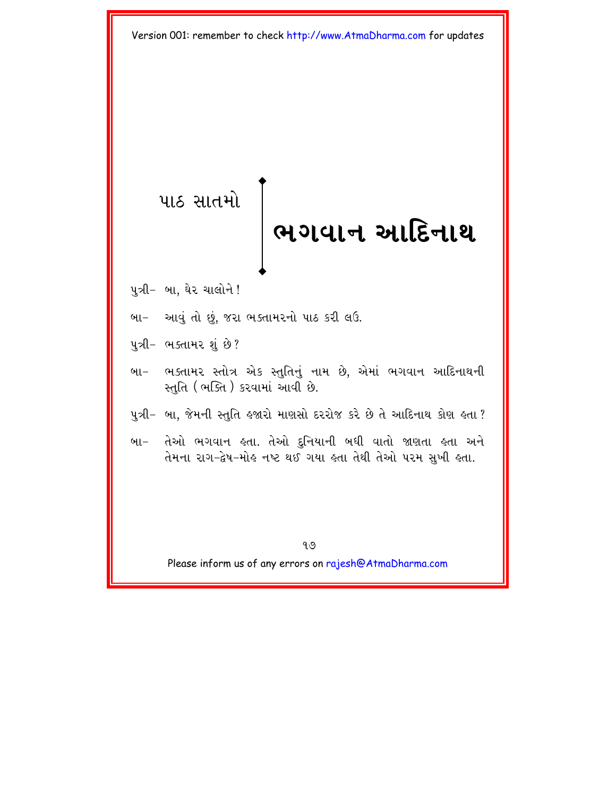# <span id="page-21-0"></span>પાઠ સાતમો <u>ભગવાન આદિનાથ</u>

- પુત્રી– બા, ઘેર ચાલોને !
- બા– આવું તો છું, જરા ભક્તામરનો પાઠ કરી લઉ.
- પત્રી- ભક્તામર શું છે?
- બા– ભક્તામર સ્તોત્ર એક સ્તુતિનું નામ છે, એમાં ભગવાન આદિનાથની સ્તુતિ (ભક્તિ) કરવામાં આવી છે.
- પુત્રી- બા, જેમની સ્તુતિ હજારો માણસો દરરોજ કરે છે તે આદિનાથ કોણ હતા ?
- બા– તેઓ ભગવાન હતા. તેઓ દુનિયાની બધી વાતો જાણતા હતા અને તેમના રાગ-દ્વેષ-મોલ્ નષ્ટ થઈ ગયા લ્લા તેથી તેઓ પરમ સખી લ્લા.

 $9.9$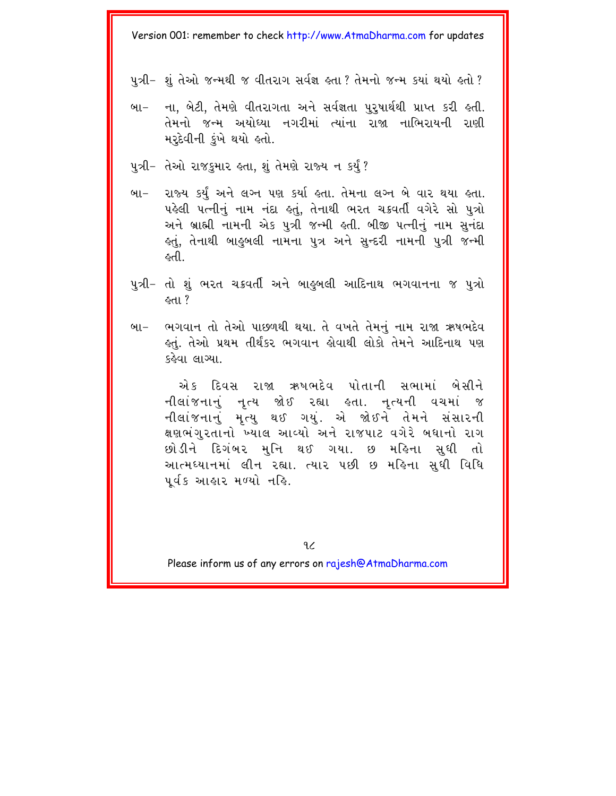પત્રી– શંતેઓ જન્મથી જ વીતરાગ સર્વજ્ઞ હતા ? તેમનો જન્મ કયાં થયો હતો ?

- બા– ના, બેટી, તેમણે વીતરાગતા અને સર્વજ્ઞતા પુરૃષાર્થથી પ્રાપ્ત કરી હતી. તેમનો જન્મ અયોધ્યા નગરીમાં ત્યાંના રાજા નાભિરાયની રાણી મરદેવીની કંખે થયો હતો.
- પુત્રી- તેઓ રાજકુમાર હતા, શું તેમણે રાજ્ય ન કર્યું?
- બા– રાજ્ય કર્યું અને લગ્ન પણ કર્યા હતા. તેમના લગ્ન બે વાર થયા હતા. પહેલી પત્નીનું નામ નંદા હતું, તેનાથી ભરત ચક્રવર્તી વગેરે સો પુત્રો અને બ્રાહ્મી નામની એક પુત્રી જન્મી હતી. બીજી પત્નીનું નામ સુનંદા કતું, તેનાથી બાકુબલી નામના પુત્ર અને સુન્દરી નામની પુત્રી જન્મી હતી.
- પુત્રી– તો શું ભરત ચક્રવર્તી અને બાઢુબલી આદિનાથ ભગવાનના જ પુત્રો  $\epsilon$ dl $?$
- બા– ભગવાન તો તેઓ પાછળથી થયા. તે વખતે તેમનું નામ રાજા ઋષભદેવ કતું. તેઓ પ્રથમ તીર્થંકર ભગવાન કોવાથી લોકો તેમને આદિનાથ પણ કહેવા લાગ્યા.

એક દિવસ રાજા ઋષભદેવ પોતાની સભામાં બેસીને નીલાંજનાનું નૃત્ય જોઈ રહ્યા હતા. નૃત્યની વચમાં જ નીલાંજનાનું મૃત્યુ થઈ ગયું. એ જોઈને તેમને સંસારની ક્ષણભંગુરતાનો ખ્યાલ આવ્યો અને રાજપાટ વગેરે બધાનો રાગ છોડીને દિગંબર મુનિ થઈ ગયા. છ મહિના સુધી તો આત્મધ્યાનમાં લીન રહ્યા. ત્યાર પછી છ મહિના સુધી વિધિ પૂર્વક આહાર મળ્યો નહિ.

 $9<sub>6</sub>$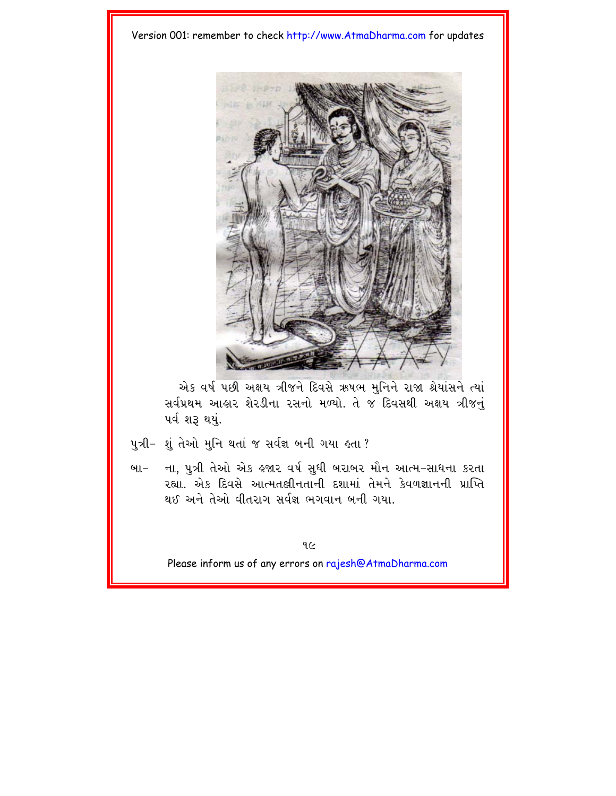

એક વર્ષ પછી અક્ષય ત્રીજને દિવસે ઋષભ મુનિને રાજા શ્રેયાંસને ત્યાં સર્વપ્રથમ આહાર શેરડીના રસનો મળ્યો. તે જ દિવસથી અક્ષય ત્રીજનં ૫ર્વશરૂ થયું.

- પુત્રી- શું તેઓ મુનિ થતાં જ સર્વજ્ઞ બની ગયા હતા ?
- બા- ના, પુત્રી તેઓ એક હજાર વર્ષ સુધી બરાબર મૌન આત્મ-સાધના કરતા રહ્યા. એક દિવસે આત્મતલ્રીનતાની દશામાં તેમને કેવળજ્ઞાનની પ્રાપ્તિ થઈ અને તેઓ વીતરાગ સર્વજ્ઞ ભગવાન બની ગયા.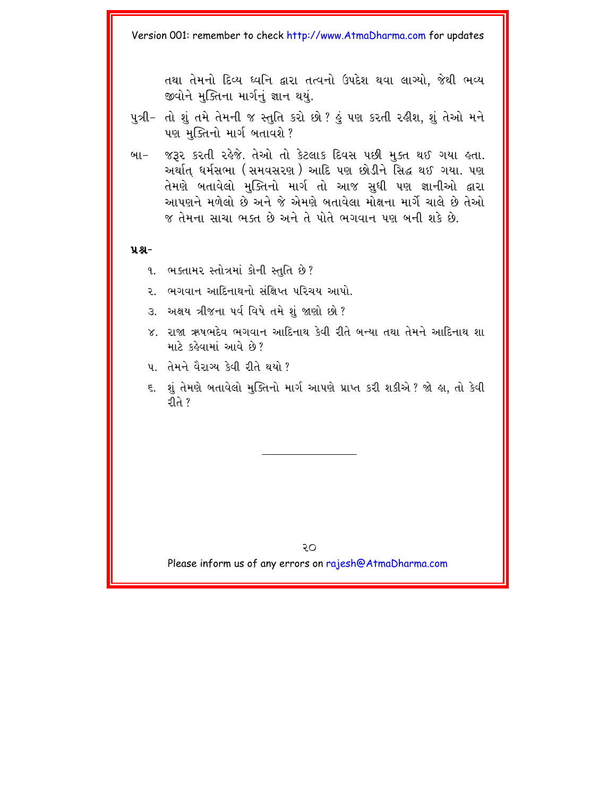તથા તેમનો દિવ્ય ધ્વનિ દ્વારા તત્વનો ઉપદેશ થવા લાગ્યો. જેથી ભવ્ય જીવોને મક્તિના માર્ગનં જ્ઞાન થયં.

- પુત્રી– તો શું તમે તેમની જ સ્તુતિ કરો છો ? હું પણ કરતી રહીશ, શું તેઓ મને પણ મક્તિનો માર્ગ બતાવશે ?
- બા- જરૂર કરતી રહેજે. તેઓ તો કેટલાક દિવસ પછી મક્ત થઈ ગયા હતા. અર્થાત ધર્મસભા (સમવસરણ) આદિ પણ છોડીને સિદ્ધ થઈ ગયા. પણ તેમણે બતાવેલો મક્તિનો માર્ગ તો આજ સધી પણ જ્ઞાનીઓ દ્વારા આપણને મળેલો છે અને જે એમણે બતાવેલા મોક્ષના માર્ગે ચાલે છે તેઓ જ તેમના સાચા ભક્ત છે અને તે પોતે ભગવાન પણ બની શકે છે.

#### **p/Æ-**

- ૧. ભક્તામર સ્તોત્રમાં કોની સ્તુતિ છે?
- ૨. ભગવાન આદિનાથનો સંક્ષિપ્ત પરિચય આપો.
- 3. અક્ષય ત્રીજના પર્વ વિષે તમે શું જાણો છો?
- $\times$  રાજા ઋષભદેવ ભગવાન આદિનાથ કેવી રીતે બન્યા તથા તેમને આદિનાથ શા માટે કહેવામાં આવે છે?
- ૫. તેમને વૈરાગ્ય કેવી રીતે થયો ?
- ૬. શંતેમણે બતાવેલો મુક્તિનો માર્ગ આપણે પ્રાપ્ત કરી શકીએ? જો હા, તો કેવી งใ $\lambda$ ?

 $\overline{Q}$